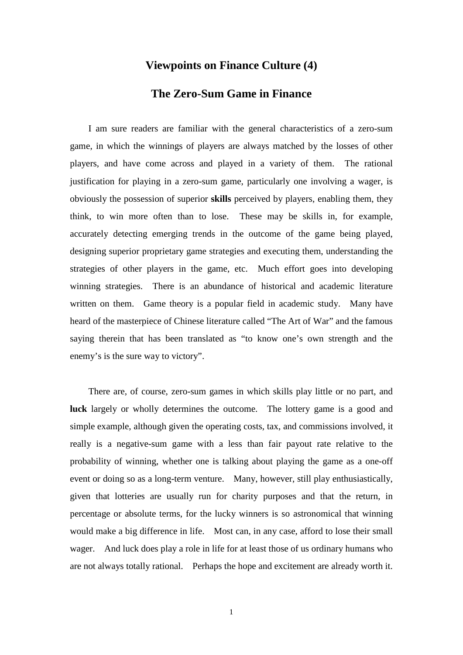## **Viewpoints on Finance Culture (4)**

## **The Zero-Sum Game in Finance**

I am sure readers are familiar with the general characteristics of a zero-sum game, in which the winnings of players are always matched by the losses of other players, and have come across and played in a variety of them. The rational justification for playing in a zero-sum game, particularly one involving a wager, is obviously the possession of superior **skills** perceived by players, enabling them, they think, to win more often than to lose. These may be skills in, for example, accurately detecting emerging trends in the outcome of the game being played, designing superior proprietary game strategies and executing them, understanding the strategies of other players in the game, etc. Much effort goes into developing winning strategies. There is an abundance of historical and academic literature written on them. Game theory is a popular field in academic study. Many have heard of the masterpiece of Chinese literature called "The Art of War" and the famous saying therein that has been translated as "to know one's own strength and the enemy's is the sure way to victory".

There are, of course, zero-sum games in which skills play little or no part, and **luck** largely or wholly determines the outcome. The lottery game is a good and simple example, although given the operating costs, tax, and commissions involved, it really is a negative-sum game with a less than fair payout rate relative to the probability of winning, whether one is talking about playing the game as a one-off event or doing so as a long-term venture. Many, however, still play enthusiastically, given that lotteries are usually run for charity purposes and that the return, in percentage or absolute terms, for the lucky winners is so astronomical that winning would make a big difference in life. Most can, in any case, afford to lose their small wager. And luck does play a role in life for at least those of us ordinary humans who are not always totally rational. Perhaps the hope and excitement are already worth it.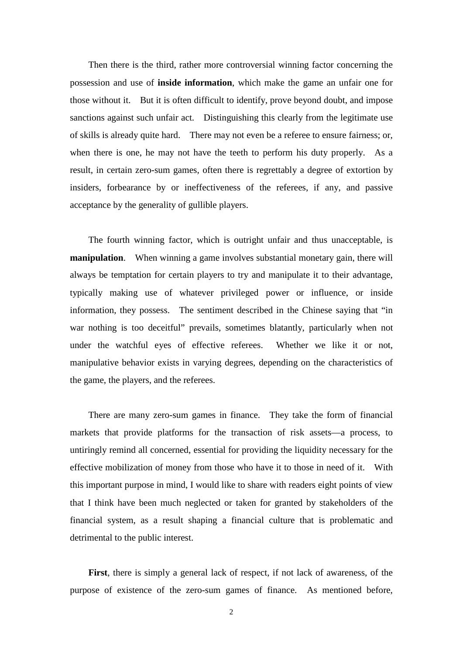Then there is the third, rather more controversial winning factor concerning the possession and use of **inside information**, which make the game an unfair one for those without it. But it is often difficult to identify, prove beyond doubt, and impose sanctions against such unfair act. Distinguishing this clearly from the legitimate use of skills is already quite hard. There may not even be a referee to ensure fairness; or, when there is one, he may not have the teeth to perform his duty properly. As a result, in certain zero-sum games, often there is regrettably a degree of extortion by insiders, forbearance by or ineffectiveness of the referees, if any, and passive acceptance by the generality of gullible players.

The fourth winning factor, which is outright unfair and thus unacceptable, is **manipulation.** When winning a game involves substantial monetary gain, there will always be temptation for certain players to try and manipulate it to their advantage, typically making use of whatever privileged power or influence, or inside information, they possess. The sentiment described in the Chinese saying that "in war nothing is too deceitful" prevails, sometimes blatantly, particularly when not under the watchful eyes of effective referees. Whether we like it or not, manipulative behavior exists in varying degrees, depending on the characteristics of the game, the players, and the referees.

There are many zero-sum games in finance. They take the form of financial markets that provide platforms for the transaction of risk assets—a process, to untiringly remind all concerned, essential for providing the liquidity necessary for the effective mobilization of money from those who have it to those in need of it. With this important purpose in mind, I would like to share with readers eight points of view that I think have been much neglected or taken for granted by stakeholders of the financial system, as a result shaping a financial culture that is problematic and detrimental to the public interest.

**First**, there is simply a general lack of respect, if not lack of awareness, of the purpose of existence of the zero-sum games of finance. As mentioned before,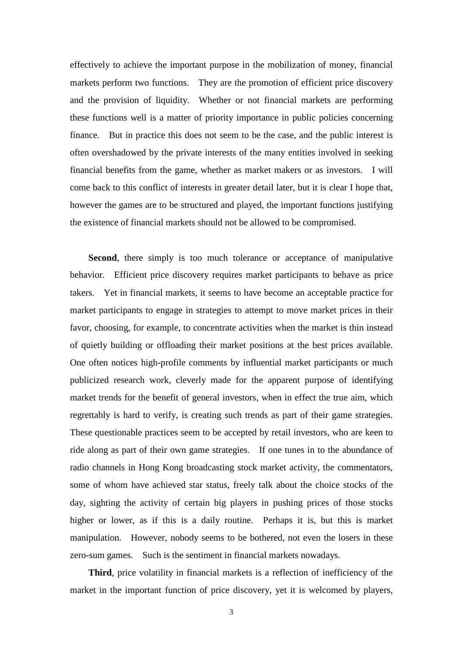effectively to achieve the important purpose in the mobilization of money, financial markets perform two functions. They are the promotion of efficient price discovery and the provision of liquidity. Whether or not financial markets are performing these functions well is a matter of priority importance in public policies concerning finance. But in practice this does not seem to be the case, and the public interest is often overshadowed by the private interests of the many entities involved in seeking financial benefits from the game, whether as market makers or as investors. I will come back to this conflict of interests in greater detail later, but it is clear I hope that, however the games are to be structured and played, the important functions justifying the existence of financial markets should not be allowed to be compromised.

**Second**, there simply is too much tolerance or acceptance of manipulative behavior. Efficient price discovery requires market participants to behave as price takers. Yet in financial markets, it seems to have become an acceptable practice for market participants to engage in strategies to attempt to move market prices in their favor, choosing, for example, to concentrate activities when the market is thin instead of quietly building or offloading their market positions at the best prices available. One often notices high-profile comments by influential market participants or much publicized research work, cleverly made for the apparent purpose of identifying market trends for the benefit of general investors, when in effect the true aim, which regrettably is hard to verify, is creating such trends as part of their game strategies. These questionable practices seem to be accepted by retail investors, who are keen to ride along as part of their own game strategies. If one tunes in to the abundance of radio channels in Hong Kong broadcasting stock market activity, the commentators, some of whom have achieved star status, freely talk about the choice stocks of the day, sighting the activity of certain big players in pushing prices of those stocks higher or lower, as if this is a daily routine. Perhaps it is, but this is market manipulation. However, nobody seems to be bothered, not even the losers in these zero-sum games. Such is the sentiment in financial markets nowadays.

**Third**, price volatility in financial markets is a reflection of inefficiency of the market in the important function of price discovery, yet it is welcomed by players,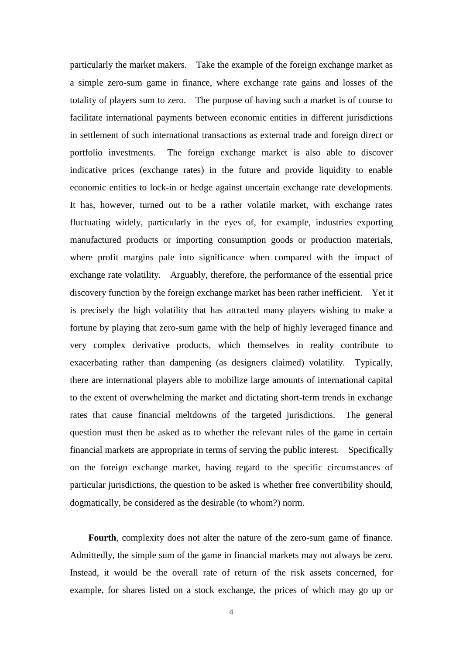particularly the market makers. Take the example of the foreign exchange market as a simple zero-sum game in finance, where exchange rate gains and losses of the totality of players sum to zero. The purpose of having such a market is of course to facilitate international payments between economic entities in different jurisdictions in settlement of such international transactions as external trade and foreign direct or portfolio investments. The foreign exchange market is also able to discover indicative prices (exchange rates) in the future and provide liquidity to enable economic entities to lock-in or hedge against uncertain exchange rate developments. It has, however, turned out to be a rather volatile market, with exchange rates fluctuating widely, particularly in the eyes of, for example, industries exporting manufactured products or importing consumption goods or production materials, where profit margins pale into significance when compared with the impact of exchange rate volatility. Arguably, therefore, the performance of the essential price discovery function by the foreign exchange market has been rather inefficient. Yet it is precisely the high volatility that has attracted many players wishing to make a fortune by playing that zero-sum game with the help of highly leveraged finance and very complex derivative products, which themselves in reality contribute to exacerbating rather than dampening (as designers claimed) volatility. Typically, there are international players able to mobilize large amounts of international capital to the extent of overwhelming the market and dictating short-term trends in exchange rates that cause financial meltdowns of the targeted jurisdictions. The general question must then be asked as to whether the relevant rules of the game in certain financial markets are appropriate in terms of serving the public interest. Specifically on the foreign exchange market, having regard to the specific circumstances of particular jurisdictions, the question to be asked is whether free convertibility should, dogmatically, be considered as the desirable (to whom?) norm.

**Fourth**, complexity does not alter the nature of the zero-sum game of finance. Admittedly, the simple sum of the game in financial markets may not always be zero. Instead, it would be the overall rate of return of the risk assets concerned, for example, for shares listed on a stock exchange, the prices of which may go up or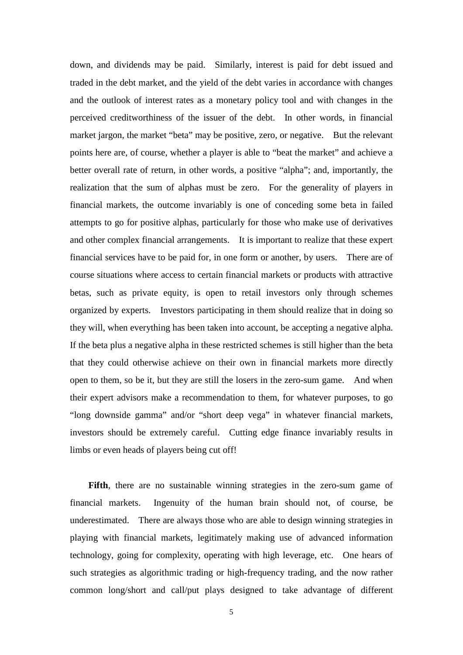down, and dividends may be paid. Similarly, interest is paid for debt issued and traded in the debt market, and the yield of the debt varies in accordance with changes and the outlook of interest rates as a monetary policy tool and with changes in the perceived creditworthiness of the issuer of the debt. In other words, in financial market jargon, the market "beta" may be positive, zero, or negative. But the relevant points here are, of course, whether a player is able to "beat the market" and achieve a better overall rate of return, in other words, a positive "alpha"; and, importantly, the realization that the sum of alphas must be zero. For the generality of players in financial markets, the outcome invariably is one of conceding some beta in failed attempts to go for positive alphas, particularly for those who make use of derivatives and other complex financial arrangements. It is important to realize that these expert financial services have to be paid for, in one form or another, by users. There are of course situations where access to certain financial markets or products with attractive betas, such as private equity, is open to retail investors only through schemes organized by experts. Investors participating in them should realize that in doing so they will, when everything has been taken into account, be accepting a negative alpha. If the beta plus a negative alpha in these restricted schemes is still higher than the beta that they could otherwise achieve on their own in financial markets more directly open to them, so be it, but they are still the losers in the zero-sum game. And when their expert advisors make a recommendation to them, for whatever purposes, to go "long downside gamma" and/or "short deep vega" in whatever financial markets, investors should be extremely careful. Cutting edge finance invariably results in limbs or even heads of players being cut off!

**Fifth**, there are no sustainable winning strategies in the zero-sum game of financial markets. Ingenuity of the human brain should not, of course, be underestimated. There are always those who are able to design winning strategies in playing with financial markets, legitimately making use of advanced information technology, going for complexity, operating with high leverage, etc. One hears of such strategies as algorithmic trading or high-frequency trading, and the now rather common long/short and call/put plays designed to take advantage of different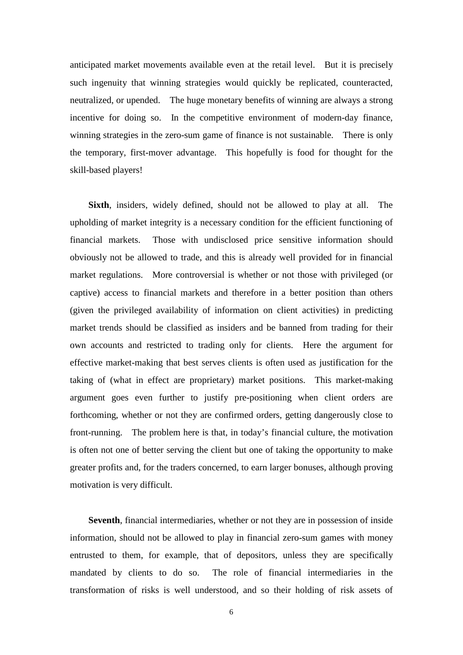anticipated market movements available even at the retail level. But it is precisely such ingenuity that winning strategies would quickly be replicated, counteracted, neutralized, or upended. The huge monetary benefits of winning are always a strong incentive for doing so. In the competitive environment of modern-day finance, winning strategies in the zero-sum game of finance is not sustainable. There is only the temporary, first-mover advantage. This hopefully is food for thought for the skill-based players!

**Sixth**, insiders, widely defined, should not be allowed to play at all. The upholding of market integrity is a necessary condition for the efficient functioning of financial markets. Those with undisclosed price sensitive information should obviously not be allowed to trade, and this is already well provided for in financial market regulations. More controversial is whether or not those with privileged (or captive) access to financial markets and therefore in a better position than others (given the privileged availability of information on client activities) in predicting market trends should be classified as insiders and be banned from trading for their own accounts and restricted to trading only for clients. Here the argument for effective market-making that best serves clients is often used as justification for the taking of (what in effect are proprietary) market positions. This market-making argument goes even further to justify pre-positioning when client orders are forthcoming, whether or not they are confirmed orders, getting dangerously close to front-running. The problem here is that, in today's financial culture, the motivation is often not one of better serving the client but one of taking the opportunity to make greater profits and, for the traders concerned, to earn larger bonuses, although proving motivation is very difficult.

**Seventh**, financial intermediaries, whether or not they are in possession of inside information, should not be allowed to play in financial zero-sum games with money entrusted to them, for example, that of depositors, unless they are specifically mandated by clients to do so. The role of financial intermediaries in the transformation of risks is well understood, and so their holding of risk assets of